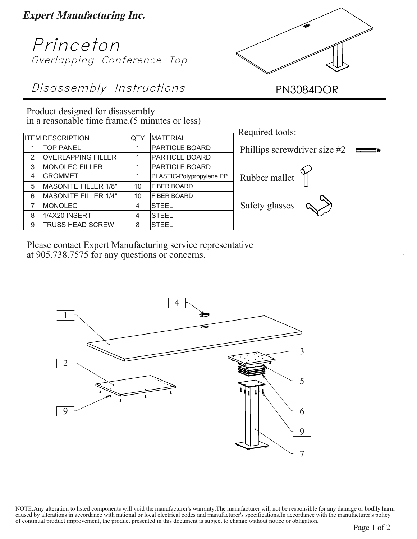**Expert Manufacturing Inc.**

## Princeton Overlapping Conference Top

Disassembly Instructions PN3084DOR

Product designed for disassembly in a reasonable time frame.(5 minutes or less)

|   | <b>ITEM DESCRIPTION</b>     | <b>QTY</b> | <b>MATERIAL</b>          |
|---|-----------------------------|------------|--------------------------|
|   | <b>TOP PANEL</b>            |            | PARTICLE BOARD           |
| 2 | <b>OVERLAPPING FILLER</b>   |            | <b>PARTICLE BOARD</b>    |
| 3 | <b>MONOLEG FILLER</b>       |            | PARTICLE BOARD           |
| 4 | <b>GROMMET</b>              |            | PLASTIC-Polypropylene PP |
| 5 | <b>MASONITE FILLER 1/8"</b> | 10         | <b>FIBER BOARD</b>       |
| 6 | <b>MASONITE FILLER 1/4"</b> | 10         | <b>FIBER BOARD</b>       |
| 7 | <b>MONOLEG</b>              | 4          | <b>STEEL</b>             |
| 8 | 1/4X20 INSERT               | 4          | <b>STEEL</b>             |
| 9 | <b>TRUSS HEAD SCREW</b>     | 8          | <b>STEEL</b>             |





Please contact Expert Manufacturing service representative at 905.738.7575 for any questions or concerns.



NOTE:Any alteration to listed components will void the manufacturer's warranty.The manufacturer will not be responsible for any damage or bodlly harm caused by alterations in accordance with national or local electrical codes and manufacturer's specifications.In accordance with the manufacturer's policy of continual product improvement, the product presented in this document is subject to change without notice or obligation.